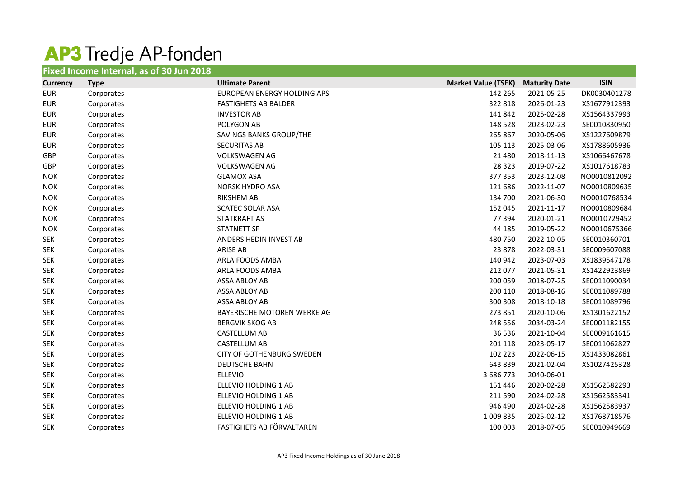## AP3 Tredje AP-fonden

|                 | Fixed Income Internal, as of 30 Jun 2018 |                                  |                            |                      |              |
|-----------------|------------------------------------------|----------------------------------|----------------------------|----------------------|--------------|
| <b>Currency</b> | <b>Type</b>                              | <b>Ultimate Parent</b>           | <b>Market Value (TSEK)</b> | <b>Maturity Date</b> | <b>ISIN</b>  |
| <b>EUR</b>      | Corporates                               | EUROPEAN ENERGY HOLDING APS      | 142 265                    | 2021-05-25           | DK0030401278 |
| <b>EUR</b>      | Corporates                               | <b>FASTIGHETS AB BALDER</b>      | 322 818                    | 2026-01-23           | XS1677912393 |
| <b>EUR</b>      | Corporates                               | <b>INVESTOR AB</b>               | 141 842                    | 2025-02-28           | XS1564337993 |
| <b>EUR</b>      | Corporates                               | POLYGON AB                       | 148 528                    | 2023-02-23           | SE0010830950 |
| <b>EUR</b>      | Corporates                               | SAVINGS BANKS GROUP/THE          | 265 867                    | 2020-05-06           | XS1227609879 |
| <b>EUR</b>      | Corporates                               | <b>SECURITAS AB</b>              | 105 113                    | 2025-03-06           | XS1788605936 |
| GBP             | Corporates                               | <b>VOLKSWAGEN AG</b>             | 21 4 8 0                   | 2018-11-13           | XS1066467678 |
| GBP             | Corporates                               | <b>VOLKSWAGEN AG</b>             | 28 3 23                    | 2019-07-22           | XS1017618783 |
| <b>NOK</b>      | Corporates                               | <b>GLAMOX ASA</b>                | 377 353                    | 2023-12-08           | NO0010812092 |
| <b>NOK</b>      | Corporates                               | <b>NORSK HYDRO ASA</b>           | 121 686                    | 2022-11-07           | NO0010809635 |
| <b>NOK</b>      | Corporates                               | <b>RIKSHEM AB</b>                | 134 700                    | 2021-06-30           | NO0010768534 |
| <b>NOK</b>      | Corporates                               | <b>SCATEC SOLAR ASA</b>          | 152 045                    | 2021-11-17           | NO0010809684 |
| <b>NOK</b>      | Corporates                               | <b>STATKRAFT AS</b>              | 77 394                     | 2020-01-21           | NO0010729452 |
| <b>NOK</b>      | Corporates                               | <b>STATNETT SF</b>               | 44 185                     | 2019-05-22           | NO0010675366 |
| <b>SEK</b>      | Corporates                               | ANDERS HEDIN INVEST AB           | 480 750                    | 2022-10-05           | SE0010360701 |
| <b>SEK</b>      | Corporates                               | <b>ARISE AB</b>                  | 23 878                     | 2022-03-31           | SE0009607088 |
| <b>SEK</b>      | Corporates                               | ARLA FOODS AMBA                  | 140 942                    | 2023-07-03           | XS1839547178 |
| <b>SEK</b>      | Corporates                               | ARLA FOODS AMBA                  | 212 077                    | 2021-05-31           | XS1422923869 |
| <b>SEK</b>      | Corporates                               | ASSA ABLOY AB                    | 200 059                    | 2018-07-25           | SE0011090034 |
| <b>SEK</b>      | Corporates                               | <b>ASSA ABLOY AB</b>             | 200 110                    | 2018-08-16           | SE0011089788 |
| <b>SEK</b>      | Corporates                               | <b>ASSA ABLOY AB</b>             | 300 308                    | 2018-10-18           | SE0011089796 |
| <b>SEK</b>      | Corporates                               | BAYERISCHE MOTOREN WERKE AG      | 273 851                    | 2020-10-06           | XS1301622152 |
| <b>SEK</b>      | Corporates                               | <b>BERGVIK SKOG AB</b>           | 248 556                    | 2034-03-24           | SE0001182155 |
| <b>SEK</b>      | Corporates                               | <b>CASTELLUM AB</b>              | 36 536                     | 2021-10-04           | SE0009161615 |
| <b>SEK</b>      | Corporates                               | <b>CASTELLUM AB</b>              | 201 118                    | 2023-05-17           | SE0011062827 |
| <b>SEK</b>      | Corporates                               | <b>CITY OF GOTHENBURG SWEDEN</b> | 102 223                    | 2022-06-15           | XS1433082861 |
| <b>SEK</b>      | Corporates                               | <b>DEUTSCHE BAHN</b>             | 643 839                    | 2021-02-04           | XS1027425328 |
| <b>SEK</b>      | Corporates                               | <b>ELLEVIO</b>                   | 3 686 773                  | 2040-06-01           |              |
| <b>SEK</b>      | Corporates                               | ELLEVIO HOLDING 1 AB             | 151 446                    | 2020-02-28           | XS1562582293 |
| <b>SEK</b>      | Corporates                               | ELLEVIO HOLDING 1 AB             | 211 590                    | 2024-02-28           | XS1562583341 |
| <b>SEK</b>      | Corporates                               | ELLEVIO HOLDING 1 AB             | 946 490                    | 2024-02-28           | XS1562583937 |
| <b>SEK</b>      | Corporates                               | ELLEVIO HOLDING 1 AB             | 1 009 835                  | 2025-02-12           | XS1768718576 |
| <b>SEK</b>      | Corporates                               | FASTIGHETS AB FÖRVALTAREN        | 100 003                    | 2018-07-05           | SE0010949669 |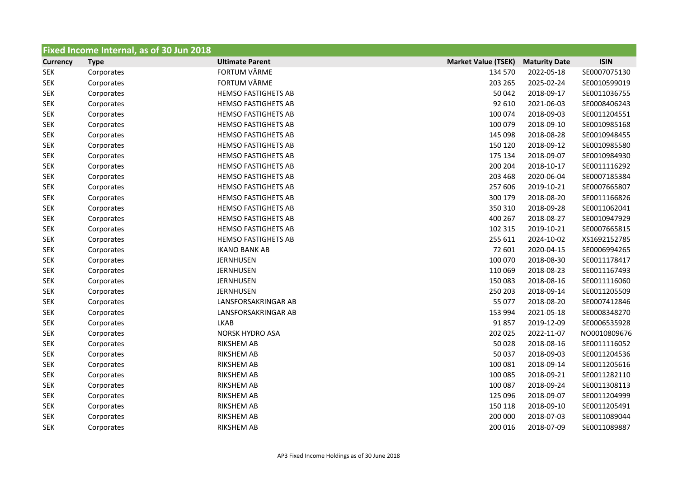| Fixed Income Internal, as of 30 Jun 2018 |             |                            |                            |                      |              |  |
|------------------------------------------|-------------|----------------------------|----------------------------|----------------------|--------------|--|
| <b>Currency</b>                          | <b>Type</b> | <b>Ultimate Parent</b>     | <b>Market Value (TSEK)</b> | <b>Maturity Date</b> | <b>ISIN</b>  |  |
| <b>SEK</b>                               | Corporates  | <b>FORTUM VÄRME</b>        | 134 570                    | 2022-05-18           | SE0007075130 |  |
| <b>SEK</b>                               | Corporates  | <b>FORTUM VÄRME</b>        | 203 265                    | 2025-02-24           | SE0010599019 |  |
| <b>SEK</b>                               | Corporates  | <b>HEMSO FASTIGHETS AB</b> | 50 042                     | 2018-09-17           | SE0011036755 |  |
| <b>SEK</b>                               | Corporates  | <b>HEMSO FASTIGHETS AB</b> | 92 610                     | 2021-06-03           | SE0008406243 |  |
| <b>SEK</b>                               | Corporates  | <b>HEMSO FASTIGHETS AB</b> | 100 074                    | 2018-09-03           | SE0011204551 |  |
| <b>SEK</b>                               | Corporates  | <b>HEMSO FASTIGHETS AB</b> | 100 079                    | 2018-09-10           | SE0010985168 |  |
| <b>SEK</b>                               | Corporates  | <b>HEMSO FASTIGHETS AB</b> | 145 098                    | 2018-08-28           | SE0010948455 |  |
| <b>SEK</b>                               | Corporates  | <b>HEMSO FASTIGHETS AB</b> | 150 120                    | 2018-09-12           | SE0010985580 |  |
| <b>SEK</b>                               | Corporates  | <b>HEMSO FASTIGHETS AB</b> | 175 134                    | 2018-09-07           | SE0010984930 |  |
| <b>SEK</b>                               | Corporates  | <b>HEMSO FASTIGHETS AB</b> | 200 204                    | 2018-10-17           | SE0011116292 |  |
| <b>SEK</b>                               | Corporates  | <b>HEMSO FASTIGHETS AB</b> | 203 468                    | 2020-06-04           | SE0007185384 |  |
| <b>SEK</b>                               | Corporates  | <b>HEMSO FASTIGHETS AB</b> | 257 606                    | 2019-10-21           | SE0007665807 |  |
| <b>SEK</b>                               | Corporates  | <b>HEMSO FASTIGHETS AB</b> | 300 179                    | 2018-08-20           | SE0011166826 |  |
| <b>SEK</b>                               | Corporates  | <b>HEMSO FASTIGHETS AB</b> | 350 310                    | 2018-09-28           | SE0011062041 |  |
| <b>SEK</b>                               | Corporates  | <b>HEMSO FASTIGHETS AB</b> | 400 267                    | 2018-08-27           | SE0010947929 |  |
| <b>SEK</b>                               | Corporates  | <b>HEMSO FASTIGHETS AB</b> | 102 315                    | 2019-10-21           | SE0007665815 |  |
| <b>SEK</b>                               | Corporates  | <b>HEMSO FASTIGHETS AB</b> | 255 611                    | 2024-10-02           | XS1692152785 |  |
| <b>SEK</b>                               | Corporates  | <b>IKANO BANK AB</b>       | 72 601                     | 2020-04-15           | SE0006994265 |  |
| <b>SEK</b>                               | Corporates  | <b>JERNHUSEN</b>           | 100 070                    | 2018-08-30           | SE0011178417 |  |
| <b>SEK</b>                               | Corporates  | <b>JERNHUSEN</b>           | 110 069                    | 2018-08-23           | SE0011167493 |  |
| <b>SEK</b>                               | Corporates  | <b>JERNHUSEN</b>           | 150 083                    | 2018-08-16           | SE0011116060 |  |
| <b>SEK</b>                               | Corporates  | <b>JERNHUSEN</b>           | 250 203                    | 2018-09-14           | SE0011205509 |  |
| <b>SEK</b>                               | Corporates  | LANSFORSAKRINGAR AB        | 55 077                     | 2018-08-20           | SE0007412846 |  |
| <b>SEK</b>                               | Corporates  | LANSFORSAKRINGAR AB        | 153 994                    | 2021-05-18           | SE0008348270 |  |
| <b>SEK</b>                               | Corporates  | <b>LKAB</b>                | 91 857                     | 2019-12-09           | SE0006535928 |  |
| <b>SEK</b>                               | Corporates  | <b>NORSK HYDRO ASA</b>     | 202 025                    | 2022-11-07           | NO0010809676 |  |
| <b>SEK</b>                               | Corporates  | <b>RIKSHEM AB</b>          | 50 0 28                    | 2018-08-16           | SE0011116052 |  |
| <b>SEK</b>                               | Corporates  | <b>RIKSHEM AB</b>          | 50 037                     | 2018-09-03           | SE0011204536 |  |
| <b>SEK</b>                               | Corporates  | <b>RIKSHEM AB</b>          | 100 081                    | 2018-09-14           | SE0011205616 |  |
| <b>SEK</b>                               | Corporates  | <b>RIKSHEM AB</b>          | 100 085                    | 2018-09-21           | SE0011282110 |  |
| <b>SEK</b>                               | Corporates  | <b>RIKSHEM AB</b>          | 100 087                    | 2018-09-24           | SE0011308113 |  |
| <b>SEK</b>                               | Corporates  | <b>RIKSHEM AB</b>          | 125 096                    | 2018-09-07           | SE0011204999 |  |
| <b>SEK</b>                               | Corporates  | <b>RIKSHEM AB</b>          | 150 118                    | 2018-09-10           | SE0011205491 |  |
| <b>SEK</b>                               | Corporates  | <b>RIKSHEM AB</b>          | 200 000                    | 2018-07-03           | SE0011089044 |  |
| <b>SEK</b>                               | Corporates  | <b>RIKSHEM AB</b>          | 200 016                    | 2018-07-09           | SE0011089887 |  |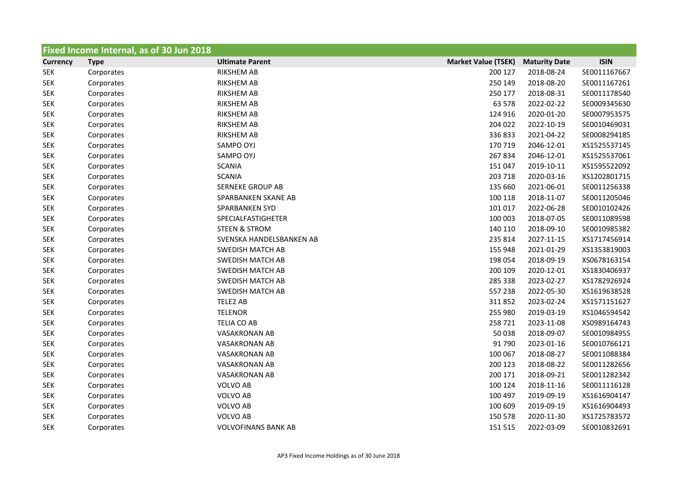| Fixed Income Internal, as of 30 Jun 2018 |             |                            |                            |                      |              |  |
|------------------------------------------|-------------|----------------------------|----------------------------|----------------------|--------------|--|
| <b>Currency</b>                          | <b>Type</b> | <b>Ultimate Parent</b>     | <b>Market Value (TSEK)</b> | <b>Maturity Date</b> | <b>ISIN</b>  |  |
| <b>SEK</b>                               | Corporates  | <b>RIKSHEM AB</b>          | 200 127                    | 2018-08-24           | SE0011167667 |  |
| <b>SEK</b>                               | Corporates  | <b>RIKSHEM AB</b>          | 250 149                    | 2018-08-20           | SE0011167261 |  |
| <b>SEK</b>                               | Corporates  | <b>RIKSHEM AB</b>          | 250 177                    | 2018-08-31           | SE0011178540 |  |
| <b>SEK</b>                               | Corporates  | <b>RIKSHEM AB</b>          | 63 578                     | 2022-02-22           | SE0009345630 |  |
| <b>SEK</b>                               | Corporates  | <b>RIKSHEM AB</b>          | 124 916                    | 2020-01-20           | SE0007953575 |  |
| <b>SEK</b>                               | Corporates  | <b>RIKSHEM AB</b>          | 204 022                    | 2022-10-19           | SE0010469031 |  |
| <b>SEK</b>                               | Corporates  | <b>RIKSHEM AB</b>          | 336833                     | 2021-04-22           | SE0008294185 |  |
| <b>SEK</b>                               | Corporates  | SAMPO OYJ                  | 170 719                    | 2046-12-01           | XS1525537145 |  |
| <b>SEK</b>                               | Corporates  | SAMPO OYJ                  | 267834                     | 2046-12-01           | XS1525537061 |  |
| <b>SEK</b>                               | Corporates  | <b>SCANIA</b>              | 151 047                    | 2019-10-11           | XS1595522092 |  |
| <b>SEK</b>                               | Corporates  | <b>SCANIA</b>              | 203 718                    | 2020-03-16           | XS1202801715 |  |
| <b>SEK</b>                               | Corporates  | <b>SERNEKE GROUP AB</b>    | 135 660                    | 2021-06-01           | SE0011256338 |  |
| <b>SEK</b>                               | Corporates  | SPARBANKEN SKANE AB        | 100 118                    | 2018-11-07           | SE0011205046 |  |
| <b>SEK</b>                               | Corporates  | SPARBANKEN SYD             | 101 017                    | 2022-06-28           | SE0010102426 |  |
| <b>SEK</b>                               | Corporates  | SPECIALFASTIGHETER         | 100 003                    | 2018-07-05           | SE0011089598 |  |
| <b>SEK</b>                               | Corporates  | <b>STEEN &amp; STROM</b>   | 140 110                    | 2018-09-10           | SE0010985382 |  |
| <b>SEK</b>                               | Corporates  | SVENSKA HANDELSBANKEN AB   | 235 814                    | 2027-11-15           | XS1717456914 |  |
| <b>SEK</b>                               | Corporates  | <b>SWEDISH MATCH AB</b>    | 155 948                    | 2021-01-29           | XS1353819003 |  |
| <b>SEK</b>                               | Corporates  | SWEDISH MATCH AB           | 198 054                    | 2018-09-19           | XS0678163154 |  |
| <b>SEK</b>                               | Corporates  | <b>SWEDISH MATCH AB</b>    | 200 109                    | 2020-12-01           | XS1830406937 |  |
| <b>SEK</b>                               | Corporates  | <b>SWEDISH MATCH AB</b>    | 285 338                    | 2023-02-27           | XS1782926924 |  |
| <b>SEK</b>                               | Corporates  | <b>SWEDISH MATCH AB</b>    | 557 238                    | 2022-05-30           | XS1619638528 |  |
| <b>SEK</b>                               | Corporates  | TELE2 AB                   | 311852                     | 2023-02-24           | XS1571151627 |  |
| <b>SEK</b>                               | Corporates  | <b>TELENOR</b>             | 255 980                    | 2019-03-19           | XS1046594542 |  |
| <b>SEK</b>                               | Corporates  | <b>TELIA CO AB</b>         | 258721                     | 2023-11-08           | XS0989164743 |  |
| <b>SEK</b>                               | Corporates  | <b>VASAKRONAN AB</b>       | 50 038                     | 2018-09-07           | SE0010984955 |  |
| <b>SEK</b>                               | Corporates  | <b>VASAKRONAN AB</b>       | 91 790                     | 2023-01-16           | SE0010766121 |  |
| <b>SEK</b>                               | Corporates  | <b>VASAKRONAN AB</b>       | 100 067                    | 2018-08-27           | SE0011088384 |  |
| <b>SEK</b>                               | Corporates  | <b>VASAKRONAN AB</b>       | 200 123                    | 2018-08-22           | SE0011282656 |  |
| <b>SEK</b>                               | Corporates  | <b>VASAKRONAN AB</b>       | 200 171                    | 2018-09-21           | SE0011282342 |  |
| <b>SEK</b>                               | Corporates  | <b>VOLVO AB</b>            | 100 124                    | 2018-11-16           | SE0011116128 |  |
| <b>SEK</b>                               | Corporates  | VOLVO AB                   | 100 497                    | 2019-09-19           | XS1616904147 |  |
| <b>SEK</b>                               | Corporates  | <b>VOLVO AB</b>            | 100 609                    | 2019-09-19           | XS1616904493 |  |
| <b>SEK</b>                               | Corporates  | <b>VOLVO AB</b>            | 150 578                    | 2020-11-30           | XS1725783572 |  |
| <b>SEK</b>                               | Corporates  | <b>VOLVOFINANS BANK AB</b> | 151 515                    | 2022-03-09           | SE0010832691 |  |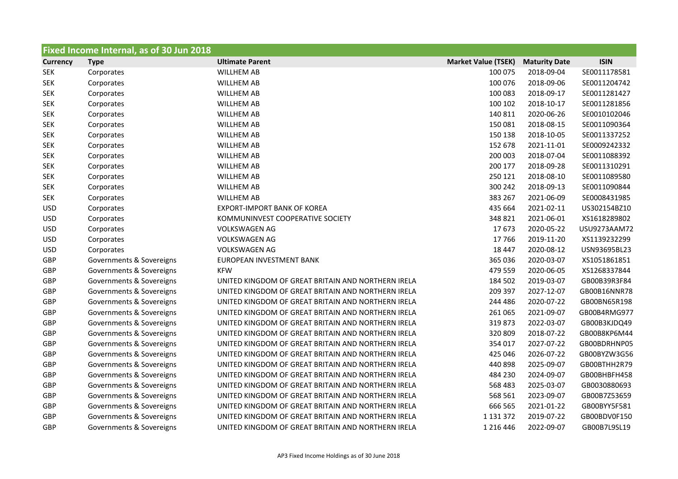| Fixed Income Internal, as of 30 Jun 2018 |                          |                                                    |                            |                      |              |  |  |
|------------------------------------------|--------------------------|----------------------------------------------------|----------------------------|----------------------|--------------|--|--|
| <b>Currency</b>                          | <b>Type</b>              | <b>Ultimate Parent</b>                             | <b>Market Value (TSEK)</b> | <b>Maturity Date</b> | <b>ISIN</b>  |  |  |
| <b>SEK</b>                               | Corporates               | <b>WILLHEM AB</b>                                  | 100 075                    | 2018-09-04           | SE0011178581 |  |  |
| <b>SEK</b>                               | Corporates               | <b>WILLHEM AB</b>                                  | 100 076                    | 2018-09-06           | SE0011204742 |  |  |
| <b>SEK</b>                               | Corporates               | <b>WILLHEM AB</b>                                  | 100 083                    | 2018-09-17           | SE0011281427 |  |  |
| <b>SEK</b>                               | Corporates               | <b>WILLHEM AB</b>                                  | 100 102                    | 2018-10-17           | SE0011281856 |  |  |
| <b>SEK</b>                               | Corporates               | <b>WILLHEM AB</b>                                  | 140 811                    | 2020-06-26           | SE0010102046 |  |  |
| <b>SEK</b>                               | Corporates               | <b>WILLHEM AB</b>                                  | 150 081                    | 2018-08-15           | SE0011090364 |  |  |
| <b>SEK</b>                               | Corporates               | <b>WILLHEM AB</b>                                  | 150 138                    | 2018-10-05           | SE0011337252 |  |  |
| <b>SEK</b>                               | Corporates               | <b>WILLHEM AB</b>                                  | 152 678                    | 2021-11-01           | SE0009242332 |  |  |
| <b>SEK</b>                               | Corporates               | <b>WILLHEM AB</b>                                  | 200 003                    | 2018-07-04           | SE0011088392 |  |  |
| <b>SEK</b>                               | Corporates               | <b>WILLHEM AB</b>                                  | 200 177                    | 2018-09-28           | SE0011310291 |  |  |
| <b>SEK</b>                               | Corporates               | <b>WILLHEM AB</b>                                  | 250 121                    | 2018-08-10           | SE0011089580 |  |  |
| <b>SEK</b>                               | Corporates               | <b>WILLHEM AB</b>                                  | 300 242                    | 2018-09-13           | SE0011090844 |  |  |
| <b>SEK</b>                               | Corporates               | <b>WILLHEM AB</b>                                  | 383 267                    | 2021-06-09           | SE0008431985 |  |  |
| <b>USD</b>                               | Corporates               | <b>EXPORT-IMPORT BANK OF KOREA</b>                 | 435 664                    | 2021-02-11           | US302154BZ10 |  |  |
| <b>USD</b>                               | Corporates               | KOMMUNINVEST COOPERATIVE SOCIETY                   | 348 821                    | 2021-06-01           | XS1618289802 |  |  |
| <b>USD</b>                               | Corporates               | <b>VOLKSWAGEN AG</b>                               | 17673                      | 2020-05-22           | USU9273AAM72 |  |  |
| <b>USD</b>                               | Corporates               | <b>VOLKSWAGEN AG</b>                               | 17766                      | 2019-11-20           | XS1139232299 |  |  |
| <b>USD</b>                               | Corporates               | <b>VOLKSWAGEN AG</b>                               | 18 447                     | 2020-08-12           | USN93695BL23 |  |  |
| GBP                                      | Governments & Sovereigns | EUROPEAN INVESTMENT BANK                           | 365 036                    | 2020-03-07           | XS1051861851 |  |  |
| GBP                                      | Governments & Sovereigns | <b>KFW</b>                                         | 479 559                    | 2020-06-05           | XS1268337844 |  |  |
| GBP                                      | Governments & Sovereigns | UNITED KINGDOM OF GREAT BRITAIN AND NORTHERN IRELA | 184 502                    | 2019-03-07           | GB00B39R3F84 |  |  |
| GBP                                      | Governments & Sovereigns | UNITED KINGDOM OF GREAT BRITAIN AND NORTHERN IRELA | 209 397                    | 2027-12-07           | GB00B16NNR78 |  |  |
| GBP                                      | Governments & Sovereigns | UNITED KINGDOM OF GREAT BRITAIN AND NORTHERN IRELA | 244 486                    | 2020-07-22           | GB00BN65R198 |  |  |
| GBP                                      | Governments & Sovereigns | UNITED KINGDOM OF GREAT BRITAIN AND NORTHERN IRELA | 261 065                    | 2021-09-07           | GB00B4RMG977 |  |  |
| GBP                                      | Governments & Sovereigns | UNITED KINGDOM OF GREAT BRITAIN AND NORTHERN IRELA | 319873                     | 2022-03-07           | GB00B3KJDQ49 |  |  |
| <b>GBP</b>                               | Governments & Sovereigns | UNITED KINGDOM OF GREAT BRITAIN AND NORTHERN IRELA | 320 809                    | 2018-07-22           | GB00B8KP6M44 |  |  |
| GBP                                      | Governments & Sovereigns | UNITED KINGDOM OF GREAT BRITAIN AND NORTHERN IRELA | 354 017                    | 2027-07-22           | GB00BDRHNP05 |  |  |
| <b>GBP</b>                               | Governments & Sovereigns | UNITED KINGDOM OF GREAT BRITAIN AND NORTHERN IRELA | 425 046                    | 2026-07-22           | GB00BYZW3G56 |  |  |
| <b>GBP</b>                               | Governments & Sovereigns | UNITED KINGDOM OF GREAT BRITAIN AND NORTHERN IRELA | 440 898                    | 2025-09-07           | GB00BTHH2R79 |  |  |
| <b>GBP</b>                               | Governments & Sovereigns | UNITED KINGDOM OF GREAT BRITAIN AND NORTHERN IRELA | 484 230                    | 2024-09-07           | GB00BHBFH458 |  |  |
| GBP                                      | Governments & Sovereigns | UNITED KINGDOM OF GREAT BRITAIN AND NORTHERN IRELA | 568 483                    | 2025-03-07           | GB0030880693 |  |  |
| GBP                                      | Governments & Sovereigns | UNITED KINGDOM OF GREAT BRITAIN AND NORTHERN IRELA | 568 561                    | 2023-09-07           | GB00B7Z53659 |  |  |
| GBP                                      | Governments & Sovereigns | UNITED KINGDOM OF GREAT BRITAIN AND NORTHERN IRELA | 666 565                    | 2021-01-22           | GB00BYY5F581 |  |  |
| <b>GBP</b>                               | Governments & Sovereigns | UNITED KINGDOM OF GREAT BRITAIN AND NORTHERN IRELA | 1 1 3 1 3 7 2              | 2019-07-22           | GB00BDV0F150 |  |  |
| GBP                                      | Governments & Sovereigns | UNITED KINGDOM OF GREAT BRITAIN AND NORTHERN IRELA | 1 2 1 6 4 4 6              | 2022-09-07           | GB00B7L9SL19 |  |  |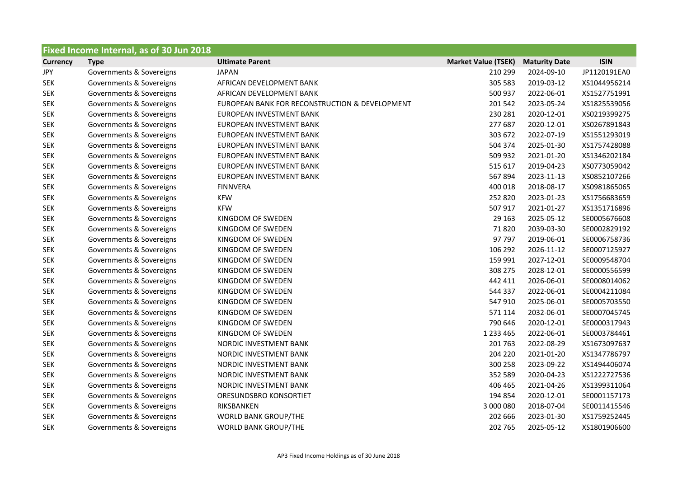|                 | Fixed Income Internal, as of 30 Jun 2018 |                                                |                            |                      |              |  |  |  |
|-----------------|------------------------------------------|------------------------------------------------|----------------------------|----------------------|--------------|--|--|--|
| <b>Currency</b> | <b>Type</b>                              | <b>Ultimate Parent</b>                         | <b>Market Value (TSEK)</b> | <b>Maturity Date</b> | <b>ISIN</b>  |  |  |  |
| JPY             | Governments & Sovereigns                 | <b>JAPAN</b>                                   | 210 299                    | 2024-09-10           | JP1120191EA0 |  |  |  |
| <b>SEK</b>      | Governments & Sovereigns                 | AFRICAN DEVELOPMENT BANK                       | 305 583                    | 2019-03-12           | XS1044956214 |  |  |  |
| <b>SEK</b>      | Governments & Sovereigns                 | AFRICAN DEVELOPMENT BANK                       | 500 937                    | 2022-06-01           | XS1527751991 |  |  |  |
| <b>SEK</b>      | Governments & Sovereigns                 | EUROPEAN BANK FOR RECONSTRUCTION & DEVELOPMENT | 201 542                    | 2023-05-24           | XS1825539056 |  |  |  |
| <b>SEK</b>      | Governments & Sovereigns                 | EUROPEAN INVESTMENT BANK                       | 230 281                    | 2020-12-01           | XS0219399275 |  |  |  |
| <b>SEK</b>      | Governments & Sovereigns                 | EUROPEAN INVESTMENT BANK                       | 277 687                    | 2020-12-01           | XS0267891843 |  |  |  |
| <b>SEK</b>      | Governments & Sovereigns                 | EUROPEAN INVESTMENT BANK                       | 303 672                    | 2022-07-19           | XS1551293019 |  |  |  |
| <b>SEK</b>      | Governments & Sovereigns                 | EUROPEAN INVESTMENT BANK                       | 504 374                    | 2025-01-30           | XS1757428088 |  |  |  |
| <b>SEK</b>      | Governments & Sovereigns                 | EUROPEAN INVESTMENT BANK                       | 509 932                    | 2021-01-20           | XS1346202184 |  |  |  |
| <b>SEK</b>      | Governments & Sovereigns                 | EUROPEAN INVESTMENT BANK                       | 515 617                    | 2019-04-23           | XS0773059042 |  |  |  |
| <b>SEK</b>      | Governments & Sovereigns                 | EUROPEAN INVESTMENT BANK                       | 567894                     | 2023-11-13           | XS0852107266 |  |  |  |
| <b>SEK</b>      | Governments & Sovereigns                 | <b>FINNVERA</b>                                | 400 018                    | 2018-08-17           | XS0981865065 |  |  |  |
| <b>SEK</b>      | Governments & Sovereigns                 | <b>KFW</b>                                     | 252 820                    | 2023-01-23           | XS1756683659 |  |  |  |
| <b>SEK</b>      | Governments & Sovereigns                 | <b>KFW</b>                                     | 507 917                    | 2021-01-27           | XS1351716896 |  |  |  |
| <b>SEK</b>      | Governments & Sovereigns                 | KINGDOM OF SWEDEN                              | 29 163                     | 2025-05-12           | SE0005676608 |  |  |  |
| <b>SEK</b>      | Governments & Sovereigns                 | KINGDOM OF SWEDEN                              | 71820                      | 2039-03-30           | SE0002829192 |  |  |  |
| <b>SEK</b>      | Governments & Sovereigns                 | KINGDOM OF SWEDEN                              | 97 797                     | 2019-06-01           | SE0006758736 |  |  |  |
| <b>SEK</b>      | Governments & Sovereigns                 | KINGDOM OF SWEDEN                              | 106 292                    | 2026-11-12           | SE0007125927 |  |  |  |
| <b>SEK</b>      | Governments & Sovereigns                 | KINGDOM OF SWEDEN                              | 159 991                    | 2027-12-01           | SE0009548704 |  |  |  |
| <b>SEK</b>      | Governments & Sovereigns                 | KINGDOM OF SWEDEN                              | 308 275                    | 2028-12-01           | SE0000556599 |  |  |  |
| <b>SEK</b>      | Governments & Sovereigns                 | KINGDOM OF SWEDEN                              | 442 411                    | 2026-06-01           | SE0008014062 |  |  |  |
| <b>SEK</b>      | Governments & Sovereigns                 | KINGDOM OF SWEDEN                              | 544 337                    | 2022-06-01           | SE0004211084 |  |  |  |
| <b>SEK</b>      | Governments & Sovereigns                 | KINGDOM OF SWEDEN                              | 547 910                    | 2025-06-01           | SE0005703550 |  |  |  |
| <b>SEK</b>      | Governments & Sovereigns                 | KINGDOM OF SWEDEN                              | 571 114                    | 2032-06-01           | SE0007045745 |  |  |  |
| <b>SEK</b>      | Governments & Sovereigns                 | KINGDOM OF SWEDEN                              | 790 646                    | 2020-12-01           | SE0000317943 |  |  |  |
| <b>SEK</b>      | Governments & Sovereigns                 | KINGDOM OF SWEDEN                              | 1 2 3 4 4 6 5              | 2022-06-01           | SE0003784461 |  |  |  |
| <b>SEK</b>      | Governments & Sovereigns                 | NORDIC INVESTMENT BANK                         | 201 763                    | 2022-08-29           | XS1673097637 |  |  |  |
| <b>SEK</b>      | Governments & Sovereigns                 | NORDIC INVESTMENT BANK                         | 204 220                    | 2021-01-20           | XS1347786797 |  |  |  |
| <b>SEK</b>      | Governments & Sovereigns                 | NORDIC INVESTMENT BANK                         | 300 258                    | 2023-09-22           | XS1494406074 |  |  |  |
| <b>SEK</b>      | Governments & Sovereigns                 | NORDIC INVESTMENT BANK                         | 352 589                    | 2020-04-23           | XS1222727536 |  |  |  |
| <b>SEK</b>      | Governments & Sovereigns                 | NORDIC INVESTMENT BANK                         | 406 465                    | 2021-04-26           | XS1399311064 |  |  |  |
| <b>SEK</b>      | Governments & Sovereigns                 | ORESUNDSBRO KONSORTIET                         | 194 854                    | 2020-12-01           | SE0001157173 |  |  |  |
| <b>SEK</b>      | Governments & Sovereigns                 | RIKSBANKEN                                     | 3 000 080                  | 2018-07-04           | SE0011415546 |  |  |  |
| <b>SEK</b>      | Governments & Sovereigns                 | <b>WORLD BANK GROUP/THE</b>                    | 202 666                    | 2023-01-30           | XS1759252445 |  |  |  |
| <b>SEK</b>      | Governments & Sovereigns                 | <b>WORLD BANK GROUP/THE</b>                    | 202 765                    | 2025-05-12           | XS1801906600 |  |  |  |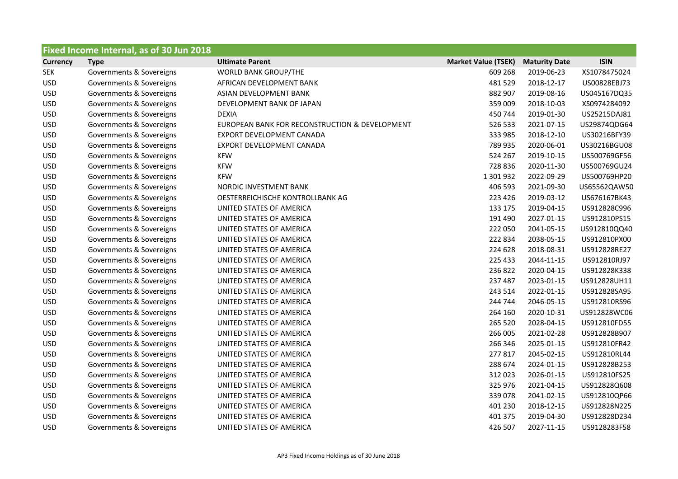|                 | Fixed Income Internal, as of 30 Jun 2018 |                                                |                            |                      |              |  |  |
|-----------------|------------------------------------------|------------------------------------------------|----------------------------|----------------------|--------------|--|--|
| <b>Currency</b> | <b>Type</b>                              | <b>Ultimate Parent</b>                         | <b>Market Value (TSEK)</b> | <b>Maturity Date</b> | <b>ISIN</b>  |  |  |
| <b>SEK</b>      | Governments & Sovereigns                 | <b>WORLD BANK GROUP/THE</b>                    | 609 268                    | 2019-06-23           | XS1078475024 |  |  |
| <b>USD</b>      | Governments & Sovereigns                 | AFRICAN DEVELOPMENT BANK                       | 481529                     | 2018-12-17           | US00828EBJ73 |  |  |
| <b>USD</b>      | Governments & Sovereigns                 | ASIAN DEVELOPMENT BANK                         | 882 907                    | 2019-08-16           | US045167DQ35 |  |  |
| <b>USD</b>      | Governments & Sovereigns                 | DEVELOPMENT BANK OF JAPAN                      | 359 009                    | 2018-10-03           | XS0974284092 |  |  |
| <b>USD</b>      | Governments & Sovereigns                 | <b>DEXIA</b>                                   | 450 744                    | 2019-01-30           | US25215DAJ81 |  |  |
| <b>USD</b>      | Governments & Sovereigns                 | EUROPEAN BANK FOR RECONSTRUCTION & DEVELOPMENT | 526 533                    | 2021-07-15           | US29874QDG64 |  |  |
| <b>USD</b>      | Governments & Sovereigns                 | EXPORT DEVELOPMENT CANADA                      | 333 985                    | 2018-12-10           | US30216BFY39 |  |  |
| <b>USD</b>      | Governments & Sovereigns                 | EXPORT DEVELOPMENT CANADA                      | 789 935                    | 2020-06-01           | US30216BGU08 |  |  |
| <b>USD</b>      | Governments & Sovereigns                 | <b>KFW</b>                                     | 524 267                    | 2019-10-15           | US500769GF56 |  |  |
| <b>USD</b>      | Governments & Sovereigns                 | <b>KFW</b>                                     | 728 836                    | 2020-11-30           | US500769GU24 |  |  |
| <b>USD</b>      | Governments & Sovereigns                 | <b>KFW</b>                                     | 1 301 932                  | 2022-09-29           | US500769HP20 |  |  |
| <b>USD</b>      | Governments & Sovereigns                 | NORDIC INVESTMENT BANK                         | 406 593                    | 2021-09-30           | US65562QAW50 |  |  |
| <b>USD</b>      | Governments & Sovereigns                 | OESTERREICHISCHE KONTROLLBANK AG               | 223 426                    | 2019-03-12           | US676167BK43 |  |  |
| <b>USD</b>      | Governments & Sovereigns                 | UNITED STATES OF AMERICA                       | 133 175                    | 2019-04-15           | US912828C996 |  |  |
| <b>USD</b>      | Governments & Sovereigns                 | UNITED STATES OF AMERICA                       | 191 490                    | 2027-01-15           | US912810PS15 |  |  |
| <b>USD</b>      | Governments & Sovereigns                 | UNITED STATES OF AMERICA                       | 222 050                    | 2041-05-15           | US912810QQ40 |  |  |
| <b>USD</b>      | Governments & Sovereigns                 | UNITED STATES OF AMERICA                       | 222 834                    | 2038-05-15           | US912810PX00 |  |  |
| <b>USD</b>      | Governments & Sovereigns                 | UNITED STATES OF AMERICA                       | 224 628                    | 2018-08-31           | US912828RE27 |  |  |
| <b>USD</b>      | Governments & Sovereigns                 | UNITED STATES OF AMERICA                       | 225 433                    | 2044-11-15           | US912810RJ97 |  |  |
| <b>USD</b>      | Governments & Sovereigns                 | UNITED STATES OF AMERICA                       | 236 822                    | 2020-04-15           | US912828K338 |  |  |
| <b>USD</b>      | Governments & Sovereigns                 | UNITED STATES OF AMERICA                       | 237 487                    | 2023-01-15           | US912828UH11 |  |  |
| <b>USD</b>      | Governments & Sovereigns                 | UNITED STATES OF AMERICA                       | 243 514                    | 2022-01-15           | US912828SA95 |  |  |
| <b>USD</b>      | Governments & Sovereigns                 | UNITED STATES OF AMERICA                       | 244 744                    | 2046-05-15           | US912810RS96 |  |  |
| <b>USD</b>      | Governments & Sovereigns                 | UNITED STATES OF AMERICA                       | 264 160                    | 2020-10-31           | US912828WC06 |  |  |
| <b>USD</b>      | Governments & Sovereigns                 | UNITED STATES OF AMERICA                       | 265 520                    | 2028-04-15           | US912810FD55 |  |  |
| <b>USD</b>      | Governments & Sovereigns                 | UNITED STATES OF AMERICA                       | 266 005                    | 2021-02-28           | US912828B907 |  |  |
| <b>USD</b>      | Governments & Sovereigns                 | UNITED STATES OF AMERICA                       | 266 346                    | 2025-01-15           | US912810FR42 |  |  |
| <b>USD</b>      | Governments & Sovereigns                 | UNITED STATES OF AMERICA                       | 277817                     | 2045-02-15           | US912810RL44 |  |  |
| <b>USD</b>      | Governments & Sovereigns                 | UNITED STATES OF AMERICA                       | 288 674                    | 2024-01-15           | US912828B253 |  |  |
| <b>USD</b>      | Governments & Sovereigns                 | UNITED STATES OF AMERICA                       | 312 023                    | 2026-01-15           | US912810FS25 |  |  |
| <b>USD</b>      | Governments & Sovereigns                 | UNITED STATES OF AMERICA                       | 325 976                    | 2021-04-15           | US912828Q608 |  |  |
| <b>USD</b>      | Governments & Sovereigns                 | UNITED STATES OF AMERICA                       | 339078                     | 2041-02-15           | US912810QP66 |  |  |
| <b>USD</b>      | Governments & Sovereigns                 | UNITED STATES OF AMERICA                       | 401 230                    | 2018-12-15           | US912828N225 |  |  |
| <b>USD</b>      | Governments & Sovereigns                 | UNITED STATES OF AMERICA                       | 401 375                    | 2019-04-30           | US912828D234 |  |  |
| <b>USD</b>      | Governments & Sovereigns                 | UNITED STATES OF AMERICA                       | 426 507                    | 2027-11-15           | US9128283F58 |  |  |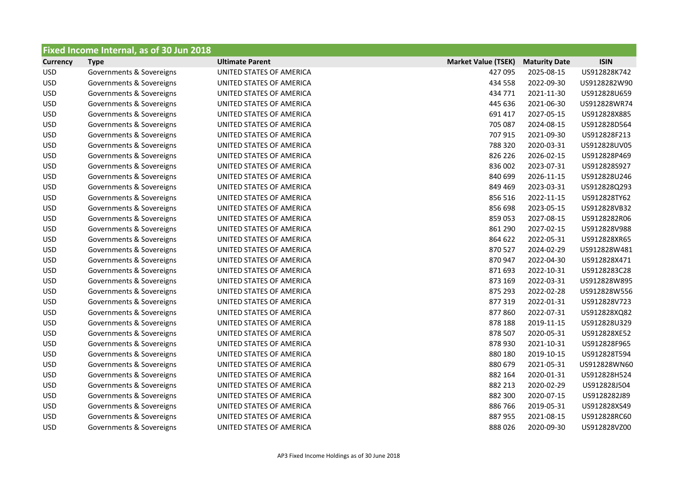|                 | <b>Fixed Income Internal, as of 30 Jun 2018</b> |                          |                            |                      |              |
|-----------------|-------------------------------------------------|--------------------------|----------------------------|----------------------|--------------|
| <b>Currency</b> | <b>Type</b>                                     | <b>Ultimate Parent</b>   | <b>Market Value (TSEK)</b> | <b>Maturity Date</b> | <b>ISIN</b>  |
| <b>USD</b>      | Governments & Sovereigns                        | UNITED STATES OF AMERICA | 427 095                    | 2025-08-15           | US912828K742 |
| <b>USD</b>      | Governments & Sovereigns                        | UNITED STATES OF AMERICA | 434 558                    | 2022-09-30           | US9128282W90 |
| <b>USD</b>      | Governments & Sovereigns                        | UNITED STATES OF AMERICA | 434 771                    | 2021-11-30           | US912828U659 |
| <b>USD</b>      | Governments & Sovereigns                        | UNITED STATES OF AMERICA | 445 636                    | 2021-06-30           | US912828WR74 |
| <b>USD</b>      | Governments & Sovereigns                        | UNITED STATES OF AMERICA | 691 417                    | 2027-05-15           | US912828X885 |
| <b>USD</b>      | Governments & Sovereigns                        | UNITED STATES OF AMERICA | 705 087                    | 2024-08-15           | US912828D564 |
| <b>USD</b>      | Governments & Sovereigns                        | UNITED STATES OF AMERICA | 707 915                    | 2021-09-30           | US912828F213 |
| <b>USD</b>      | Governments & Sovereigns                        | UNITED STATES OF AMERICA | 788 320                    | 2020-03-31           | US912828UV05 |
| <b>USD</b>      | Governments & Sovereigns                        | UNITED STATES OF AMERICA | 826 226                    | 2026-02-15           | US912828P469 |
| <b>USD</b>      | Governments & Sovereigns                        | UNITED STATES OF AMERICA | 836 002                    | 2023-07-31           | US912828S927 |
| <b>USD</b>      | Governments & Sovereigns                        | UNITED STATES OF AMERICA | 840 699                    | 2026-11-15           | US912828U246 |
| <b>USD</b>      | Governments & Sovereigns                        | UNITED STATES OF AMERICA | 849 469                    | 2023-03-31           | US912828Q293 |
| <b>USD</b>      | Governments & Sovereigns                        | UNITED STATES OF AMERICA | 856 516                    | 2022-11-15           | US912828TY62 |
| <b>USD</b>      | Governments & Sovereigns                        | UNITED STATES OF AMERICA | 856 698                    | 2023-05-15           | US912828VB32 |
| <b>USD</b>      | Governments & Sovereigns                        | UNITED STATES OF AMERICA | 859053                     | 2027-08-15           | US9128282R06 |
| <b>USD</b>      | Governments & Sovereigns                        | UNITED STATES OF AMERICA | 861 290                    | 2027-02-15           | US912828V988 |
| <b>USD</b>      | Governments & Sovereigns                        | UNITED STATES OF AMERICA | 864 622                    | 2022-05-31           | US912828XR65 |
| <b>USD</b>      | Governments & Sovereigns                        | UNITED STATES OF AMERICA | 870 527                    | 2024-02-29           | US912828W481 |
| <b>USD</b>      | Governments & Sovereigns                        | UNITED STATES OF AMERICA | 870947                     | 2022-04-30           | US912828X471 |
| <b>USD</b>      | Governments & Sovereigns                        | UNITED STATES OF AMERICA | 871 693                    | 2022-10-31           | US9128283C28 |
| <b>USD</b>      | Governments & Sovereigns                        | UNITED STATES OF AMERICA | 873 169                    | 2022-03-31           | US912828W895 |
| <b>USD</b>      | Governments & Sovereigns                        | UNITED STATES OF AMERICA | 875 293                    | 2022-02-28           | US912828W556 |
| <b>USD</b>      | Governments & Sovereigns                        | UNITED STATES OF AMERICA | 877319                     | 2022-01-31           | US912828V723 |
| <b>USD</b>      | Governments & Sovereigns                        | UNITED STATES OF AMERICA | 877860                     | 2022-07-31           | US912828XQ82 |
| <b>USD</b>      | Governments & Sovereigns                        | UNITED STATES OF AMERICA | 878 188                    | 2019-11-15           | US912828U329 |
| <b>USD</b>      | Governments & Sovereigns                        | UNITED STATES OF AMERICA | 878 507                    | 2020-05-31           | US912828XE52 |
| <b>USD</b>      | Governments & Sovereigns                        | UNITED STATES OF AMERICA | 878 930                    | 2021-10-31           | US912828F965 |
| <b>USD</b>      | Governments & Sovereigns                        | UNITED STATES OF AMERICA | 880 180                    | 2019-10-15           | US912828T594 |
| <b>USD</b>      | Governments & Sovereigns                        | UNITED STATES OF AMERICA | 880 679                    | 2021-05-31           | US912828WN60 |
| <b>USD</b>      | Governments & Sovereigns                        | UNITED STATES OF AMERICA | 882 164                    | 2020-01-31           | US912828H524 |
| <b>USD</b>      | Governments & Sovereigns                        | UNITED STATES OF AMERICA | 882 213                    | 2020-02-29           | US912828J504 |
| <b>USD</b>      | Governments & Sovereigns                        | UNITED STATES OF AMERICA | 882 300                    | 2020-07-15           | US9128282J89 |
| <b>USD</b>      | Governments & Sovereigns                        | UNITED STATES OF AMERICA | 886766                     | 2019-05-31           | US912828XS49 |
| <b>USD</b>      | Governments & Sovereigns                        | UNITED STATES OF AMERICA | 887955                     | 2021-08-15           | US912828RC60 |
| <b>USD</b>      | Governments & Sovereigns                        | UNITED STATES OF AMERICA | 888026                     | 2020-09-30           | US912828VZ00 |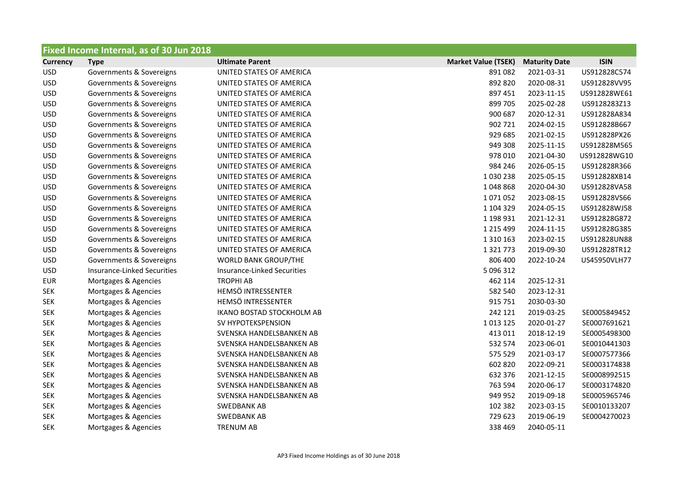| Fixed Income Internal, as of 30 Jun 2018 |                                    |                                    |                            |                      |              |  |
|------------------------------------------|------------------------------------|------------------------------------|----------------------------|----------------------|--------------|--|
| <b>Currency</b>                          | <b>Type</b>                        | <b>Ultimate Parent</b>             | <b>Market Value (TSEK)</b> | <b>Maturity Date</b> | <b>ISIN</b>  |  |
| <b>USD</b>                               | Governments & Sovereigns           | UNITED STATES OF AMERICA           | 891082                     | 2021-03-31           | US912828C574 |  |
| <b>USD</b>                               | Governments & Sovereigns           | UNITED STATES OF AMERICA           | 892 820                    | 2020-08-31           | US912828VV95 |  |
| <b>USD</b>                               | Governments & Sovereigns           | UNITED STATES OF AMERICA           | 897 451                    | 2023-11-15           | US912828WE61 |  |
| <b>USD</b>                               | Governments & Sovereigns           | UNITED STATES OF AMERICA           | 899 705                    | 2025-02-28           | US9128283Z13 |  |
| <b>USD</b>                               | Governments & Sovereigns           | UNITED STATES OF AMERICA           | 900 687                    | 2020-12-31           | US912828A834 |  |
| <b>USD</b>                               | Governments & Sovereigns           | UNITED STATES OF AMERICA           | 902 721                    | 2024-02-15           | US912828B667 |  |
| <b>USD</b>                               | Governments & Sovereigns           | UNITED STATES OF AMERICA           | 929 685                    | 2021-02-15           | US912828PX26 |  |
| <b>USD</b>                               | Governments & Sovereigns           | UNITED STATES OF AMERICA           | 949 308                    | 2025-11-15           | US912828M565 |  |
| <b>USD</b>                               | Governments & Sovereigns           | UNITED STATES OF AMERICA           | 978 010                    | 2021-04-30           | US912828WG10 |  |
| <b>USD</b>                               | Governments & Sovereigns           | UNITED STATES OF AMERICA           | 984 246                    | 2026-05-15           | US912828R366 |  |
| <b>USD</b>                               | Governments & Sovereigns           | UNITED STATES OF AMERICA           | 1030238                    | 2025-05-15           | US912828XB14 |  |
| <b>USD</b>                               | Governments & Sovereigns           | UNITED STATES OF AMERICA           | 1048868                    | 2020-04-30           | US912828VA58 |  |
| <b>USD</b>                               | Governments & Sovereigns           | UNITED STATES OF AMERICA           | 1071052                    | 2023-08-15           | US912828VS66 |  |
| <b>USD</b>                               | Governments & Sovereigns           | UNITED STATES OF AMERICA           | 1 104 329                  | 2024-05-15           | US912828WJ58 |  |
| <b>USD</b>                               | Governments & Sovereigns           | UNITED STATES OF AMERICA           | 1 198 931                  | 2021-12-31           | US912828G872 |  |
| <b>USD</b>                               | Governments & Sovereigns           | UNITED STATES OF AMERICA           | 1 2 1 5 4 9 9              | 2024-11-15           | US912828G385 |  |
| <b>USD</b>                               | Governments & Sovereigns           | UNITED STATES OF AMERICA           | 1 3 1 0 1 6 3              | 2023-02-15           | US912828UN88 |  |
| <b>USD</b>                               | Governments & Sovereigns           | UNITED STATES OF AMERICA           | 1 3 2 1 7 7 3              | 2019-09-30           | US912828TR12 |  |
| <b>USD</b>                               | Governments & Sovereigns           | <b>WORLD BANK GROUP/THE</b>        | 806 400                    | 2022-10-24           | US45950VLH77 |  |
| <b>USD</b>                               | <b>Insurance-Linked Securities</b> | <b>Insurance-Linked Securities</b> | 5 096 312                  |                      |              |  |
| <b>EUR</b>                               | Mortgages & Agencies               | <b>TROPHI AB</b>                   | 462 114                    | 2025-12-31           |              |  |
| <b>SEK</b>                               | Mortgages & Agencies               | HEMSÖ INTRESSENTER                 | 582 540                    | 2023-12-31           |              |  |
| <b>SEK</b>                               | Mortgages & Agencies               | HEMSÖ INTRESSENTER                 | 915 751                    | 2030-03-30           |              |  |
| <b>SEK</b>                               | Mortgages & Agencies               | IKANO BOSTAD STOCKHOLM AB          | 242 121                    | 2019-03-25           | SE0005849452 |  |
| <b>SEK</b>                               | Mortgages & Agencies               | SV HYPOTEKSPENSION                 | 1013125                    | 2020-01-27           | SE0007691621 |  |
| <b>SEK</b>                               | Mortgages & Agencies               | SVENSKA HANDELSBANKEN AB           | 413 011                    | 2018-12-19           | SE0005498300 |  |
| <b>SEK</b>                               | Mortgages & Agencies               | SVENSKA HANDELSBANKEN AB           | 532 574                    | 2023-06-01           | SE0010441303 |  |
| <b>SEK</b>                               | Mortgages & Agencies               | SVENSKA HANDELSBANKEN AB           | 575 529                    | 2021-03-17           | SE0007577366 |  |
| <b>SEK</b>                               | Mortgages & Agencies               | SVENSKA HANDELSBANKEN AB           | 602 820                    | 2022-09-21           | SE0003174838 |  |
| <b>SEK</b>                               | Mortgages & Agencies               | SVENSKA HANDELSBANKEN AB           | 632 376                    | 2021-12-15           | SE0008992515 |  |
| <b>SEK</b>                               | Mortgages & Agencies               | SVENSKA HANDELSBANKEN AB           | 763 594                    | 2020-06-17           | SE0003174820 |  |
| <b>SEK</b>                               | Mortgages & Agencies               | SVENSKA HANDELSBANKEN AB           | 949 952                    | 2019-09-18           | SE0005965746 |  |
| <b>SEK</b>                               | Mortgages & Agencies               | <b>SWEDBANK AB</b>                 | 102 382                    | 2023-03-15           | SE0010133207 |  |
| <b>SEK</b>                               | Mortgages & Agencies               | SWEDBANK AB                        | 729 623                    | 2019-06-19           | SE0004270023 |  |
| <b>SEK</b>                               | Mortgages & Agencies               | <b>TRENUM AB</b>                   | 338 469                    | 2040-05-11           |              |  |